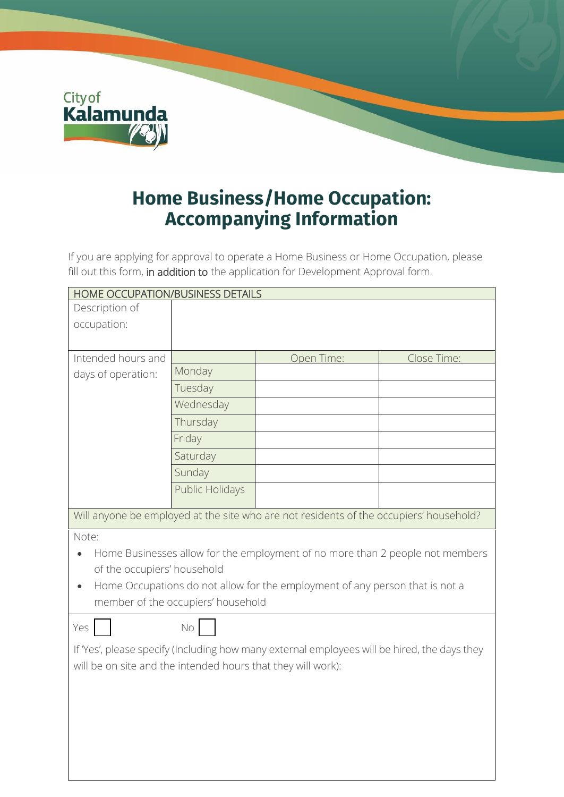

## **Home Business/Home Occupation: Accompanying Information**

If you are applying for approval to operate a Home Business or Home Occupation, please fill out this form, in addition to the application for Development Approval form.

| HOME OCCUPATION/BUSINESS DETAILS                                                             |                 |            |             |  |  |
|----------------------------------------------------------------------------------------------|-----------------|------------|-------------|--|--|
| Description of                                                                               |                 |            |             |  |  |
| occupation:                                                                                  |                 |            |             |  |  |
|                                                                                              |                 |            |             |  |  |
| Intended hours and                                                                           |                 | Open Time: | Close Time: |  |  |
| days of operation:                                                                           | Monday          |            |             |  |  |
|                                                                                              | Tuesday         |            |             |  |  |
|                                                                                              | Wednesday       |            |             |  |  |
|                                                                                              | Thursday        |            |             |  |  |
|                                                                                              | Friday          |            |             |  |  |
|                                                                                              | Saturday        |            |             |  |  |
|                                                                                              | Sunday          |            |             |  |  |
|                                                                                              | Public Holidays |            |             |  |  |
| Will anyone be employed at the site who are not residents of the occupiers' household?       |                 |            |             |  |  |
| Note:                                                                                        |                 |            |             |  |  |
| Home Businesses allow for the employment of no more than 2 people not members                |                 |            |             |  |  |
| of the occupiers' household                                                                  |                 |            |             |  |  |
| Home Occupations do not allow for the employment of any person that is not a                 |                 |            |             |  |  |
| member of the occupiers' household                                                           |                 |            |             |  |  |
| Yes                                                                                          | No              |            |             |  |  |
| If 'Yes', please specify (Including how many external employees will be hired, the days they |                 |            |             |  |  |
| will be on site and the intended hours that they will work):                                 |                 |            |             |  |  |
|                                                                                              |                 |            |             |  |  |
|                                                                                              |                 |            |             |  |  |
|                                                                                              |                 |            |             |  |  |
|                                                                                              |                 |            |             |  |  |
|                                                                                              |                 |            |             |  |  |